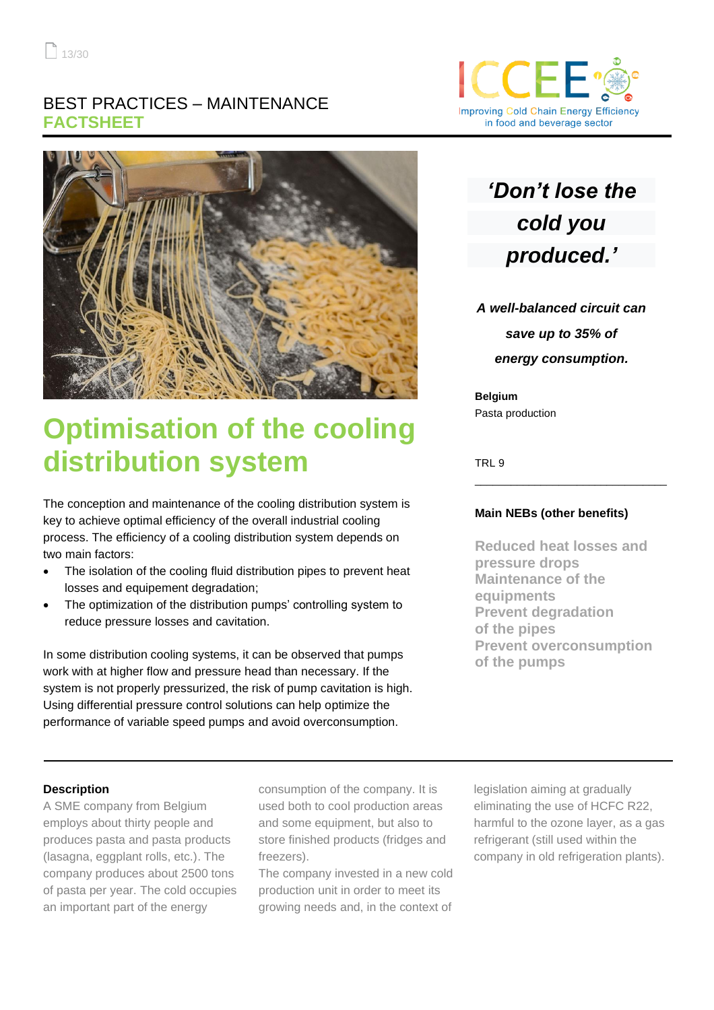## BEST PRACTICES – MAINTENANCE **FACTSHEET**



# **Optimisation of the cooling distribution system**

The conception and maintenance of the cooling distribution system is key to achieve optimal efficiency of the overall industrial cooling process. The efficiency of a cooling distribution system depends on two main factors:

- The isolation of the cooling fluid distribution pipes to prevent heat losses and equipement degradation;
- The optimization of the distribution pumps' controlling system to reduce pressure losses and cavitation.

In some distribution cooling systems, it can be observed that pumps work with at higher flow and pressure head than necessary. If the system is not properly pressurized, the risk of pump cavitation is high. Using differential pressure control solutions can help optimize the performance of variable speed pumps and avoid overconsumption.



## *'Don't lose the cold you produced.'*

*A well-balanced circuit can save up to 35% of energy consumption.*

**Belgium** Pasta production

TRL 9

## **Main NEBs (other benefits)**

\_\_\_\_\_\_\_\_\_\_\_\_\_\_\_\_\_\_\_\_\_\_\_\_\_\_\_\_\_\_\_\_

**Reduced heat losses and pressure drops Maintenance of the equipments Prevent degradation of the pipes Prevent overconsumption of the pumps**

## **Description**

A SME company from Belgium employs about thirty people and produces pasta and pasta products (lasagna, eggplant rolls, etc.). The company produces about 2500 tons of pasta per year. The cold occupies an important part of the energy

consumption of the company. It is used both to cool production areas and some equipment, but also to store finished products (fridges and freezers).

The company invested in a new cold production unit in order to meet its growing needs and, in the context of

legislation aiming at gradually eliminating the use of HCFC R22, harmful to the ozone layer, as a gas refrigerant (still used within the company in old refrigeration plants).